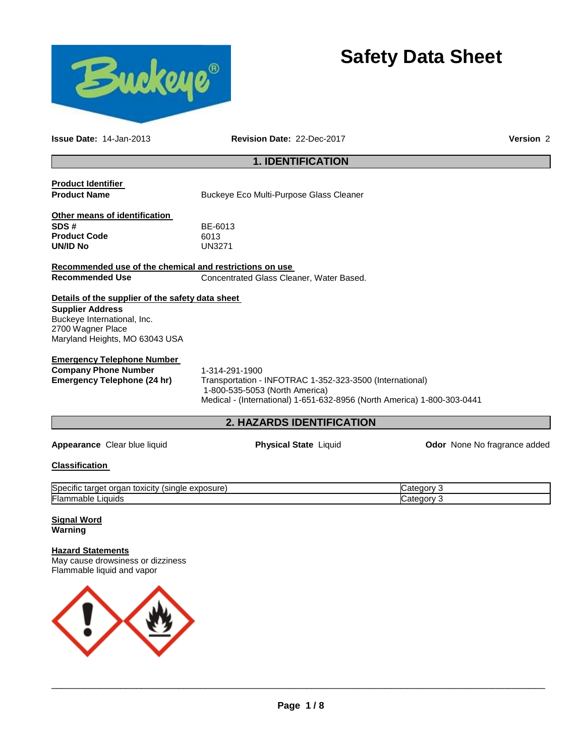

# **Safety Data Sheet**

**Issue Date:** 14-Jan-2013 **Revision Date:** 22-Dec-2017 **Version** 2

## **1. IDENTIFICATION**

| <b>Product Identifier</b>                               |                                                                         |                              |
|---------------------------------------------------------|-------------------------------------------------------------------------|------------------------------|
| <b>Product Name</b>                                     | Buckeye Eco Multi-Purpose Glass Cleaner                                 |                              |
| Other means of identification                           |                                                                         |                              |
| SDS#                                                    | BE-6013                                                                 |                              |
| <b>Product Code</b>                                     | 6013                                                                    |                              |
| <b>UN/ID No</b>                                         | <b>UN3271</b>                                                           |                              |
| Recommended use of the chemical and restrictions on use |                                                                         |                              |
| <b>Recommended Use</b>                                  | Concentrated Glass Cleaner, Water Based.                                |                              |
| Details of the supplier of the safety data sheet        |                                                                         |                              |
| <b>Supplier Address</b>                                 |                                                                         |                              |
| Buckeye International, Inc.                             |                                                                         |                              |
| 2700 Wagner Place                                       |                                                                         |                              |
| Maryland Heights, MO 63043 USA                          |                                                                         |                              |
| <b>Emergency Telephone Number</b>                       |                                                                         |                              |
| <b>Company Phone Number</b>                             | 1-314-291-1900                                                          |                              |
| <b>Emergency Telephone (24 hr)</b>                      | Transportation - INFOTRAC 1-352-323-3500 (International)                |                              |
|                                                         | 1-800-535-5053 (North America)                                          |                              |
|                                                         | Medical - (International) 1-651-632-8956 (North America) 1-800-303-0441 |                              |
|                                                         | <b>2. HAZARDS IDENTIFICATION</b>                                        |                              |
|                                                         |                                                                         |                              |
| Appearance Clear blue liquid                            | <b>Physical State Liquid</b>                                            | Odor None No fragrance added |
| <b>Classification</b>                                   |                                                                         |                              |
| Specific target organ toxicity (single exposure)        |                                                                         | Category 3                   |
| Flammable Liquids                                       |                                                                         | Category 3                   |
| <b>Signal Word</b>                                      |                                                                         |                              |
| Warning                                                 |                                                                         |                              |
| <b>Hazard Statements</b>                                |                                                                         |                              |
| May cause drowsiness or dizziness                       |                                                                         |                              |
| Flammable liquid and vapor                              |                                                                         |                              |

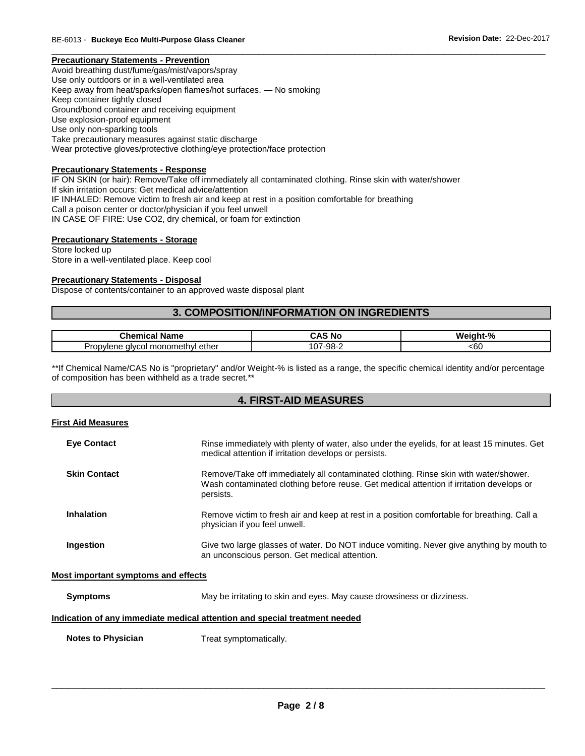#### **Precautionary Statements - Prevention**

Avoid breathing dust/fume/gas/mist/vapors/spray Use only outdoors or in a well-ventilated area Keep away from heat/sparks/open flames/hot surfaces. — No smoking Keep container tightly closed Ground/bond container and receiving equipment Use explosion-proof equipment Use only non-sparking tools Take precautionary measures against static discharge Wear protective gloves/protective clothing/eye protection/face protection

#### **Precautionary Statements - Response**

IF ON SKIN (or hair): Remove/Take off immediately all contaminated clothing. Rinse skin with water/shower If skin irritation occurs: Get medical advice/attention IF INHALED: Remove victim to fresh air and keep at rest in a position comfortable for breathing Call a poison center or doctor/physician if you feel unwell IN CASE OF FIRE: Use CO2, dry chemical, or foam for extinction

#### **Precautionary Statements - Storage**

Store locked up Store in a well-ventilated place. Keep cool

#### **Precautionary Statements - Disposal**

Dispose of contents/container to an approved waste disposal plant

#### **3. COMPOSITION/INFORMATION ON INGREDIENTS**

\_\_\_\_\_\_\_\_\_\_\_\_\_\_\_\_\_\_\_\_\_\_\_\_\_\_\_\_\_\_\_\_\_\_\_\_\_\_\_\_\_\_\_\_\_\_\_\_\_\_\_\_\_\_\_\_\_\_\_\_\_\_\_\_\_\_\_\_\_\_\_\_\_\_\_\_\_\_\_\_\_\_\_\_\_\_\_\_\_\_\_\_\_

|                                                       | - 24                     | We  |
|-------------------------------------------------------|--------------------------|-----|
| Name                                                  | N0                       | п   |
| nicai                                                 | $\overline{\phantom{a}}$ | 70  |
| alvcol monomethyl<br>ether<br>nviene<br>rop.<br>$  -$ | -98<br>__                | <60 |

\*\*If Chemical Name/CAS No is "proprietary" and/or Weight-% is listed as a range, the specific chemical identity and/or percentage of composition has been withheld as a trade secret.\*\*

#### **4. FIRST-AID MEASURES**

#### **First Aid Measures**

| <b>Eye Contact</b>  | Rinse immediately with plenty of water, also under the eyelids, for at least 15 minutes. Get<br>medical attention if irritation develops or persists.                                         |
|---------------------|-----------------------------------------------------------------------------------------------------------------------------------------------------------------------------------------------|
| <b>Skin Contact</b> | Remove/Take off immediately all contaminated clothing. Rinse skin with water/shower.<br>Wash contaminated clothing before reuse. Get medical attention if irritation develops or<br>persists. |
| Inhalation          | Remove victim to fresh air and keep at rest in a position comfortable for breathing. Call a<br>physician if you feel unwell.                                                                  |
| Ingestion           | Give two large glasses of water. Do NOT induce vomiting. Never give anything by mouth to<br>an unconscious person. Get medical attention.                                                     |

#### **Most important symptoms and effects**

**Symptoms May be irritating to skin and eyes. May cause drowsiness or dizziness.** 

#### **Indication of any immediate medical attention and special treatment needed**

**Notes to Physician**  Treat symptomatically.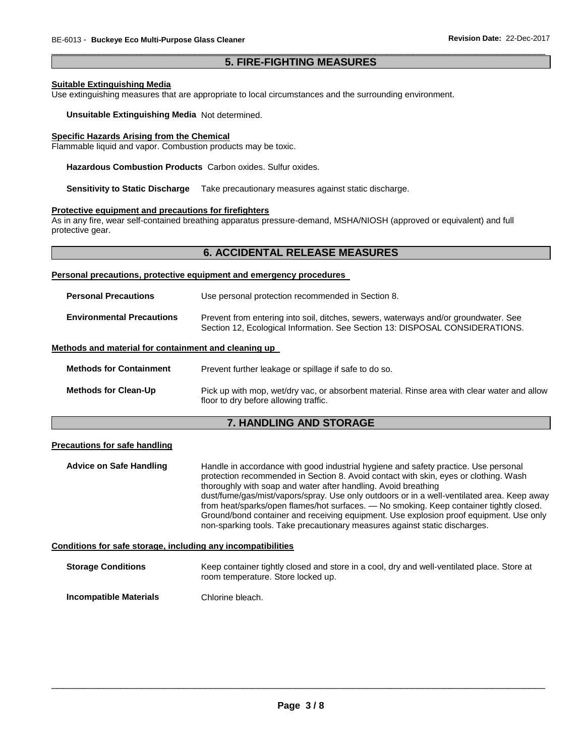#### \_\_\_\_\_\_\_\_\_\_\_\_\_\_\_\_\_\_\_\_\_\_\_\_\_\_\_\_\_\_\_\_\_\_\_\_\_\_\_\_\_\_\_\_\_\_\_\_\_\_\_\_\_\_\_\_\_\_\_\_\_\_\_\_\_\_\_\_\_\_\_\_\_\_\_\_\_\_\_\_\_\_\_\_\_\_\_\_\_\_\_\_\_ **5. FIRE-FIGHTING MEASURES**

#### **Suitable Extinguishing Media**

Use extinguishing measures that are appropriate to local circumstances and the surrounding environment.

**Unsuitable Extinguishing Media** Not determined.

#### **Specific Hazards Arising from the Chemical**

Flammable liquid and vapor. Combustion products may be toxic.

**Hazardous Combustion Products** Carbon oxides. Sulfur oxides.

**Sensitivity to Static Discharge** Take precautionary measures against static discharge.

#### **Protective equipment and precautions for firefighters**

As in any fire, wear self-contained breathing apparatus pressure-demand, MSHA/NIOSH (approved or equivalent) and full protective gear.

#### **6. ACCIDENTAL RELEASE MEASURES**

#### **Personal precautions, protective equipment and emergency procedures**

| <b>Personal Precautions</b>      | Use personal protection recommended in Section 8.                                                                                                                   |
|----------------------------------|---------------------------------------------------------------------------------------------------------------------------------------------------------------------|
| <b>Environmental Precautions</b> | Prevent from entering into soil, ditches, sewers, waterways and/or groundwater. See<br>Section 12, Ecological Information. See Section 13: DISPOSAL CONSIDERATIONS. |

#### **Methods and material for containment and cleaning up**

| <b>Methods for Containment</b> | Prevent further leakage or spillage if safe to do so.                                                                                |
|--------------------------------|--------------------------------------------------------------------------------------------------------------------------------------|
| <b>Methods for Clean-Up</b>    | Pick up with mop, wet/dry vac, or absorbent material. Rinse area with clear water and allow<br>floor to dry before allowing traffic. |

#### **7. HANDLING AND STORAGE**

#### **Precautions for safe handling**

**Advice on Safe Handling** Handle in accordance with good industrial hygiene and safety practice. Use personal protection recommended in Section 8. Avoid contact with skin, eyes or clothing. Wash thoroughly with soap and water after handling. Avoid breathing dust/fume/gas/mist/vapors/spray. Use only outdoors or in a well-ventilated area. Keep away from heat/sparks/open flames/hot surfaces. — No smoking. Keep container tightly closed. Ground/bond container and receiving equipment. Use explosion proof equipment. Use only non-sparking tools. Take precautionary measures against static discharges.

#### **Conditions for safe storage, including any incompatibilities**

| <b>Storage Conditions</b> | Keep container tightly closed and store in a cool, dry and well-ventilated place. Store at<br>room temperature. Store locked up. |
|---------------------------|----------------------------------------------------------------------------------------------------------------------------------|
| Incompatible Materials    | Chlorine bleach.                                                                                                                 |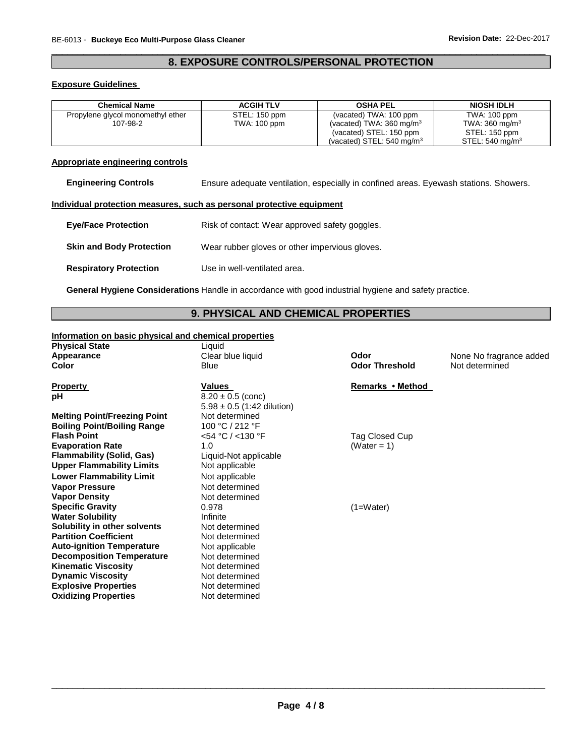#### \_\_\_\_\_\_\_\_\_\_\_\_\_\_\_\_\_\_\_\_\_\_\_\_\_\_\_\_\_\_\_\_\_\_\_\_\_\_\_\_\_\_\_\_\_\_\_\_\_\_\_\_\_\_\_\_\_\_\_\_\_\_\_\_\_\_\_\_\_\_\_\_\_\_\_\_\_\_\_\_\_\_\_\_\_\_\_\_\_\_\_\_\_ **8. EXPOSURE CONTROLS/PERSONAL PROTECTION**

#### **Exposure Guidelines**

| <b>Chemical Name</b>              | <b>ACGIH TLV</b> | <b>OSHA PEL</b>                      | <b>NIOSH IDLH</b>          |
|-----------------------------------|------------------|--------------------------------------|----------------------------|
| Propylene glycol monomethyl ether | STEL: 150 ppm    | (vacated) TWA: 100 ppm               | TWA: 100 ppm               |
| 107-98-2                          | TWA: 100 ppm     | (vacated) TWA: $360 \text{ mg/m}^3$  | TWA: $360 \text{ mg/m}^3$  |
|                                   |                  | (vacated) STEL: 150 ppm              | STEL: 150 ppm              |
|                                   |                  | (vacated) STEL: $540 \text{ mg/m}^3$ | STEL: $540 \text{ mg/m}^3$ |

#### **Appropriate engineering controls**

**Engineering Controls** Ensure adequate ventilation, especially in confined areas. Eyewash stations. Showers.

#### **Individual protection measures, such as personal protective equipment**

| <b>Eve/Face Protection</b>      | Risk of contact: Wear approved safety goggles. |
|---------------------------------|------------------------------------------------|
| <b>Skin and Body Protection</b> | Wear rubber gloves or other impervious gloves. |
| <b>Respiratory Protection</b>   | Use in well-ventilated area.                   |

**General Hygiene Considerations** Handle in accordance with good industrial hygiene and safety practice.

#### **9. PHYSICAL AND CHEMICAL PROPERTIES**

#### **Information on basic physical and chemical properties**

| <b>Physical State</b> | Liquid      |
|-----------------------|-------------|
| Appearance            | Clear b     |
| Color                 | <b>Blue</b> |
|                       |             |

**Property CONSIDERENT VALUES CONSIDERENT VALUES REMARKS • Method pH**  $8.20 \pm 0.5$  (conc)  $5.98 \pm 0.5$  (1:42 dilution) **Melting Point/Freezing Point Welting Point/Freezing Point Algebra Boiling Point/Boiling Range** 100 °C / 212 °F **Flash Point** <54 °C / <130 °F Tag Closed Cup **Evaporation Rate 1.0** (Water = 1) **Flammability (Solid, Gas)** Liquid-Not applicable **Upper Flammability Limits** Not applicable **Lower Flammability Limit** Not applicable Vapor Pressure **Not determined Vapor Density Not determined Specific Gravity 0.978** (1=Water) **Water Solubility Infinite Solubility in other solvents** Not determined **Partition Coefficient Not determined Auto-ignition Temperature** Not applicable **Decomposition Temperature** Not determined **Kinematic Viscosity Not determined Dynamic Viscosity Not determined Explosive Properties** Not determined **Oxidizing Properties Not determined** 

**Odor Threshold** Not determined

**A** pear a **Clear blue liquid Codor Clear blue Codor None No fragrance added**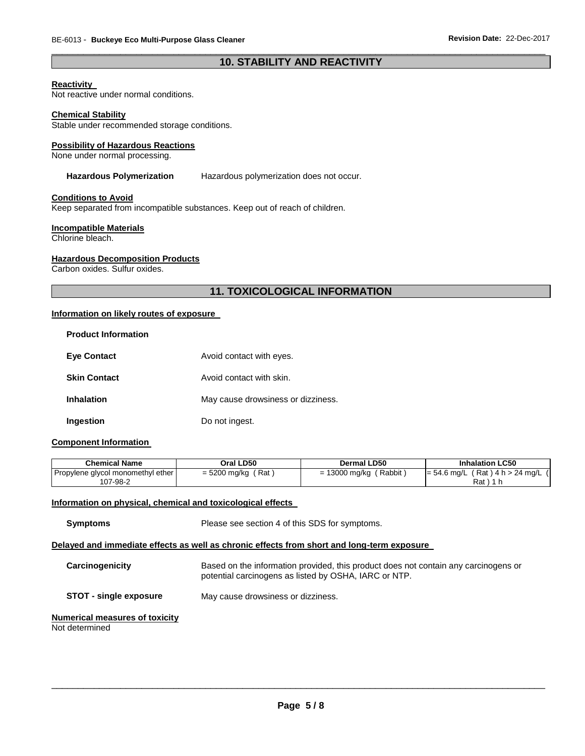#### \_\_\_\_\_\_\_\_\_\_\_\_\_\_\_\_\_\_\_\_\_\_\_\_\_\_\_\_\_\_\_\_\_\_\_\_\_\_\_\_\_\_\_\_\_\_\_\_\_\_\_\_\_\_\_\_\_\_\_\_\_\_\_\_\_\_\_\_\_\_\_\_\_\_\_\_\_\_\_\_\_\_\_\_\_\_\_\_\_\_\_\_\_ **10. STABILITY AND REACTIVITY**

#### **Reactivity**

Not reactive under normal conditions.

#### **Chemical Stability**

Stable under recommended storage conditions.

#### **Possibility of Hazardous Reactions**

None under normal processing.

#### **Hazardous Polymerization** Hazardous polymerization does not occur.

#### **Conditions to Avoid**

Keep separated from incompatible substances. Keep out of reach of children.

#### **Incompatible Materials**

Chlorine bleach.

#### **Hazardous Decomposition Products**

Carbon oxides. Sulfur oxides.

#### **11. TOXICOLOGICAL INFORMATION**

#### **Information on likely routes of exposure**

| <b>Product Information</b> |                                    |
|----------------------------|------------------------------------|
| <b>Eve Contact</b>         | Avoid contact with eyes.           |
| <b>Skin Contact</b>        | Avoid contact with skin.           |
| <b>Inhalation</b>          | May cause drowsiness or dizziness. |
| Ingestion                  | Do not ingest.                     |

#### **Component Information**

| Chemical Name                                 | Oral LD50            | Dermal LD50                 | <b>Inhalation LC50</b>                                |
|-----------------------------------------------|----------------------|-----------------------------|-------------------------------------------------------|
| Propylene glycol monomethyl ether<br>107-98-2 | = 5200 mg/kg<br>(Rat | ′ Rabbit ∶<br>= 13000 mg/kg | $(Rat)$ 4 h > 24 mg/L $($<br>$= 54.6$ mg/L (<br>Rat ) |

#### **Information on physical, chemical and toxicological effects**

| <b>Symptoms</b>                                         | Please see section 4 of this SDS for symptoms.                                                                                               |  |
|---------------------------------------------------------|----------------------------------------------------------------------------------------------------------------------------------------------|--|
|                                                         | Delayed and immediate effects as well as chronic effects from short and long-term exposure                                                   |  |
| Carcinogenicity                                         | Based on the information provided, this product does not contain any carcinogens or<br>potential carcinogens as listed by OSHA, IARC or NTP. |  |
| <b>STOT - single exposure</b>                           | May cause drowsiness or dizziness.                                                                                                           |  |
| <b>Numerical measures of toxicity</b><br>Not determined |                                                                                                                                              |  |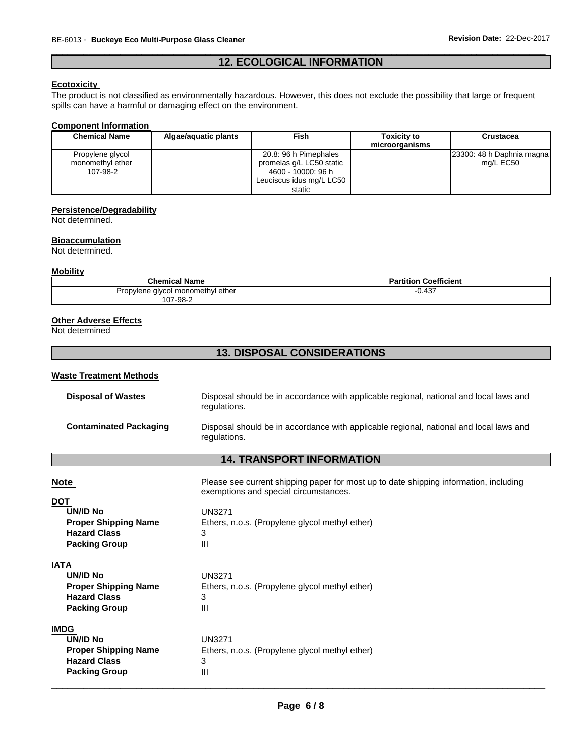#### \_\_\_\_\_\_\_\_\_\_\_\_\_\_\_\_\_\_\_\_\_\_\_\_\_\_\_\_\_\_\_\_\_\_\_\_\_\_\_\_\_\_\_\_\_\_\_\_\_\_\_\_\_\_\_\_\_\_\_\_\_\_\_\_\_\_\_\_\_\_\_\_\_\_\_\_\_\_\_\_\_\_\_\_\_\_\_\_\_\_\_\_\_ **12. ECOLOGICAL INFORMATION**

#### **Ecotoxicity**

The product is not classified as environmentally hazardous. However, this does not exclude the possibility that large or frequent spills can have a harmful or damaging effect on the environment.

#### **Component Information**

| <b>Chemical Name</b> | Algae/aguatic plants | Fish                     | <b>Toxicity to</b> | <b>Crustacea</b>          |
|----------------------|----------------------|--------------------------|--------------------|---------------------------|
|                      |                      |                          | microorganisms     |                           |
| Propylene glycol     |                      | 20.8: 96 h Pimephales    |                    | 23300: 48 h Daphnia magna |
| monomethyl ether     |                      | promelas q/L LC50 static |                    | mg/L EC50                 |
| 107-98-2             |                      | 4600 - 10000: 96 h       |                    |                           |
|                      |                      | Leuciscus idus mg/L LC50 |                    |                           |
|                      |                      | static                   |                    |                           |

#### **Persistence/Degradability**

Not determined.

#### **Bioaccumulation**

Not determined.

#### **Mobility**

| <b>Chemical Name</b>              | <b>Partition Coefficient</b> |
|-----------------------------------|------------------------------|
| Propylene glycol monomethyl ether | 127<br>U.431                 |
| 107-98-2                          |                              |

#### **Other Adverse Effects**

Not determined

### **13. DISPOSAL CONSIDERATIONS**

#### **Waste Treatment Methods**

| <b>Disposal of Wastes</b>     | Disposal should be in accordance with applicable regional, national and local laws and<br>regulations. |  |  |  |  |
|-------------------------------|--------------------------------------------------------------------------------------------------------|--|--|--|--|
| <b>Contaminated Packaging</b> | Disposal should be in accordance with applicable regional, national and local laws and<br>regulations. |  |  |  |  |

### **14. TRANSPORT INFORMATION**

| <b>Note</b>                 | Please see current shipping paper for most up to date shipping information, including<br>exemptions and special circumstances. |
|-----------------------------|--------------------------------------------------------------------------------------------------------------------------------|
| <b>DOT</b>                  |                                                                                                                                |
| <b>UN/ID No</b>             | <b>UN3271</b>                                                                                                                  |
| <b>Proper Shipping Name</b> | Ethers, n.o.s. (Propylene glycol methyl ether)                                                                                 |
| <b>Hazard Class</b>         | 3                                                                                                                              |
| <b>Packing Group</b>        | Ш                                                                                                                              |
| <b>IATA</b>                 |                                                                                                                                |
| UN/ID No                    | UN3271                                                                                                                         |
| <b>Proper Shipping Name</b> | Ethers, n.o.s. (Propylene glycol methyl ether)                                                                                 |
| <b>Hazard Class</b>         | 3                                                                                                                              |
| <b>Packing Group</b>        | Ш                                                                                                                              |
| <b>IMDG</b>                 |                                                                                                                                |
| UN/ID No                    | UN3271                                                                                                                         |
| <b>Proper Shipping Name</b> | Ethers, n.o.s. (Propylene glycol methyl ether)                                                                                 |
| <b>Hazard Class</b>         | 3                                                                                                                              |
| <b>Packing Group</b>        | Ш                                                                                                                              |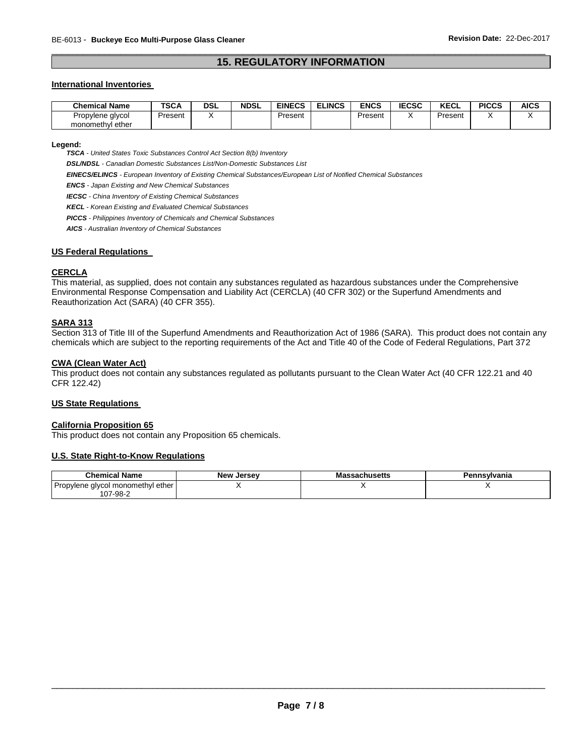#### \_\_\_\_\_\_\_\_\_\_\_\_\_\_\_\_\_\_\_\_\_\_\_\_\_\_\_\_\_\_\_\_\_\_\_\_\_\_\_\_\_\_\_\_\_\_\_\_\_\_\_\_\_\_\_\_\_\_\_\_\_\_\_\_\_\_\_\_\_\_\_\_\_\_\_\_\_\_\_\_\_\_\_\_\_\_\_\_\_\_\_\_\_ **15. REGULATORY INFORMATION**

#### **International Inventories**

| Chemical Name                           | <b>TSCA</b> | DSL | <b>NDSL</b> | <b>EINECS</b> | <b>ELINCS</b> | ENCS    | <b>IECSC</b> | <b>KECL</b> | <b>PICCS</b> | AICS |
|-----------------------------------------|-------------|-----|-------------|---------------|---------------|---------|--------------|-------------|--------------|------|
| Propylene<br>alvcol<br>monomethyl ether | Present     |     |             | Present       |               | Present |              | Present     |              |      |

#### **Legend:**

*TSCA - United States Toxic Substances Control Act Section 8(b) Inventory* 

*DSL/NDSL - Canadian Domestic Substances List/Non-Domestic Substances List* 

*EINECS/ELINCS - European Inventory of Existing Chemical Substances/European List of Notified Chemical Substances* 

*ENCS - Japan Existing and New Chemical Substances* 

*IECSC - China Inventory of Existing Chemical Substances* 

*KECL - Korean Existing and Evaluated Chemical Substances* 

*PICCS - Philippines Inventory of Chemicals and Chemical Substances* 

*AICS - Australian Inventory of Chemical Substances* 

#### **US Federal Regulations**

#### **CERCLA**

This material, as supplied, does not contain any substances regulated as hazardous substances under the Comprehensive Environmental Response Compensation and Liability Act (CERCLA) (40 CFR 302) or the Superfund Amendments and Reauthorization Act (SARA) (40 CFR 355).

#### **SARA 313**

Section 313 of Title III of the Superfund Amendments and Reauthorization Act of 1986 (SARA). This product does not contain any chemicals which are subject to the reporting requirements of the Act and Title 40 of the Code of Federal Regulations, Part 372

#### **CWA (Clean Water Act)**

This product does not contain any substances regulated as pollutants pursuant to the Clean Water Act (40 CFR 122.21 and 40 CFR 122.42)

#### **US State Regulations**

#### **California Proposition 65**

This product does not contain any Proposition 65 chemicals.

#### **U.S. State Right-to-Know Regulations**

| <b>Chemical Name</b>              | <b>New Jersey</b> | <b>Massachusetts</b> | Pennsvlvania |
|-----------------------------------|-------------------|----------------------|--------------|
| Propylene glycol monomethyl ether |                   |                      |              |
| 107-98-2                          |                   |                      |              |